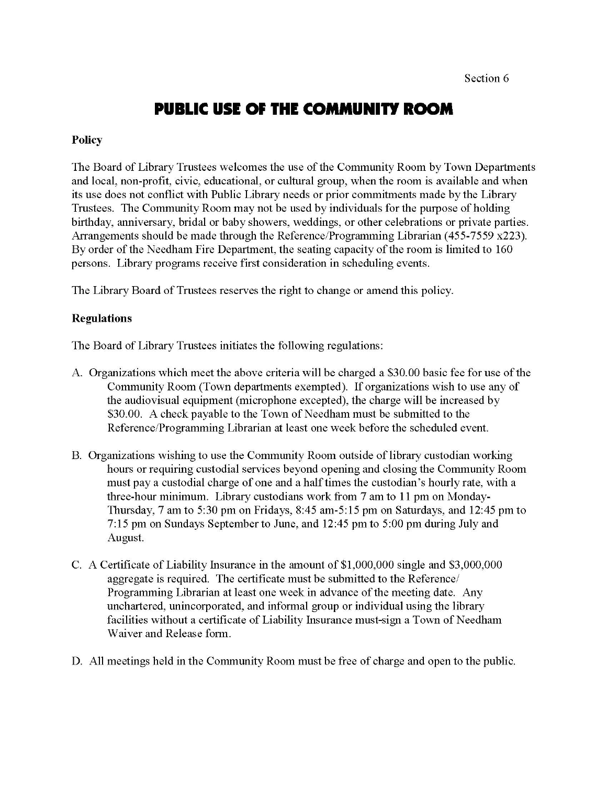## **PUBLIC USE OF THE COMMUNITY ROOM**

#### **Policy**

The Board of Library Trustees welcomes the use of the Community Room by Town Departments and local, non-profit, civic, educational, or cultural group, when the room is available and when its use does not conflict with Public Library needs or prior commitments made by the Library Trustees. The Community Room may not be used by individuals for the purpose of holding birthday, anniversary, bridal or baby showers, weddings, or other celebrations or private parties. Arrangements should be made through the Reference/Programming Librarian (455-7559 x223). By order of the Needham Fire Department, the seating capacity of the room is limited to 160 persons. Library programs receive first consideration in scheduling events.

The Library Board of Trustees reserves the right to change or amend this policy.

#### **Regulations**

The Board of Library Trustees initiates the following regulations:

- A. Organizations which meet the above criteria will be charged a \$30.00 basic fee for use of the Community Room (Town departments exempted). If organizations wish to use any of the audiovisual equipment (microphone excepted), the charge will be increased by \$30.00. A check payable to the Town of Needham must be submitted to the Reference/Programming Librarian at least one week before the scheduled event.
- B. Organizations wishing to use the Community Room outside of library custodian working hours or requiring custodial services beyond opening and closing the Community Room must pay a custodial charge of one and a half times the custodian's hourly rate, with a three-hour minimum. Library custodians work from 7 am to 11 pm on Monday-Thursday, 7 am to 5:30 pm on Fridays, 8:45 am-5:15 pm on Saturdays, and 12:45 pm to 7:15 pm on Sundays September to June, and 12:45 pm to 5:00 pm during July and August.
- C. A Certificate of Liability Insurance in the amount of \$1,000,000 single and \$3,000,000 aggregate is required. The certificate must be submitted to the Reference/ Programming Librarian at least one week in advance of the meeting date. Any unchartered, unincorporated, and informal group or individual using the library facilities without a certificate of Liability Insurance must-sign a Town of Needham Waiver and Release form.
- D. All meetings held in the Community Room must be free of charge and open to the public.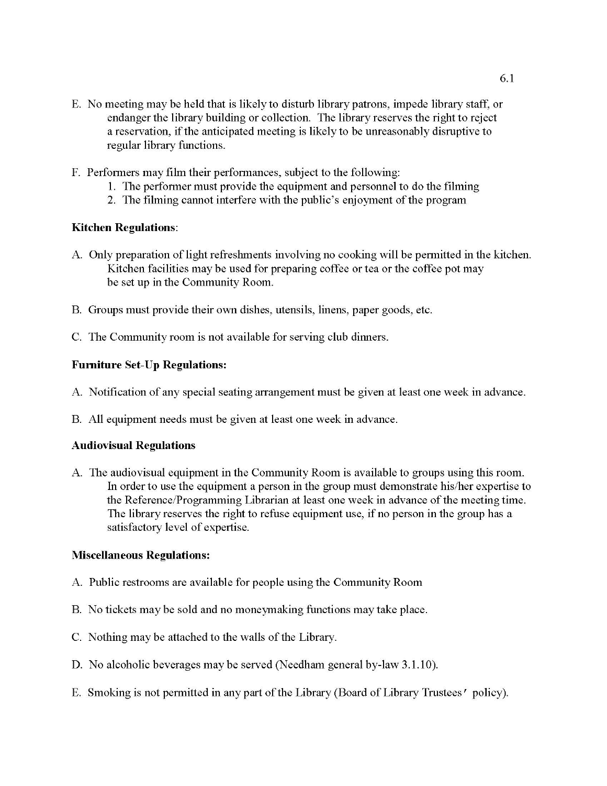- E. No meeting may be held that is likely to disturb library patrons, impede library staff, or endanger the library building or collection. The library reserves the right to reject a reservation, if the anticipated meeting is likely to be unreasonably disruptive to regular library functions.
- F. Performers may film their performances, subject to the following:
	- 1. The performer must provide the equipment and personnel to do the filming
	- 2. The filming cannot interfere with the public's enjoyment of the program

#### **Kitchen Regulations:**

- A. Only preparation of light refreshments involving no cooking will be permitted in the kitchen. Kitchen facilities may be used for preparing coffee or tea or the coffee pot may be set up in the Community Room.
- B. Groups must provide their own dishes, utensils, linens, paper goods, etc.
- C. The Community room is not available for serving club dinners.

#### **Furniture Set-Up Regulations:**

- A. Notification of any special seating arrangement must be given at least one week in advance.
- B. All equipment needs must be given at least one week in advance.

#### **Audiovisual Regulations**

A. The audiovisual equipment in the Community Room is available to groups using this room. In order to use the equipment a person in the group must demonstrate his/her expertise to the Reference/Programming Librarian at least one week in advance of the meeting time. The library reserves the right to refuse equipment use, if no person in the group has a satisfactory level of expertise.

#### **Miscellaneous Regulations:**

- A. Public restrooms are available for people using the Community Room
- B. No tickets may be sold and no moneymaking functions may take place.
- C. Nothing may be attached to the walls of the Library.
- D. No alcoholic beverages may be served (Needham general by-law 3.1.10).
- E. Smoking is not permitted in any part of the Library (Board of Library Trustees' policy).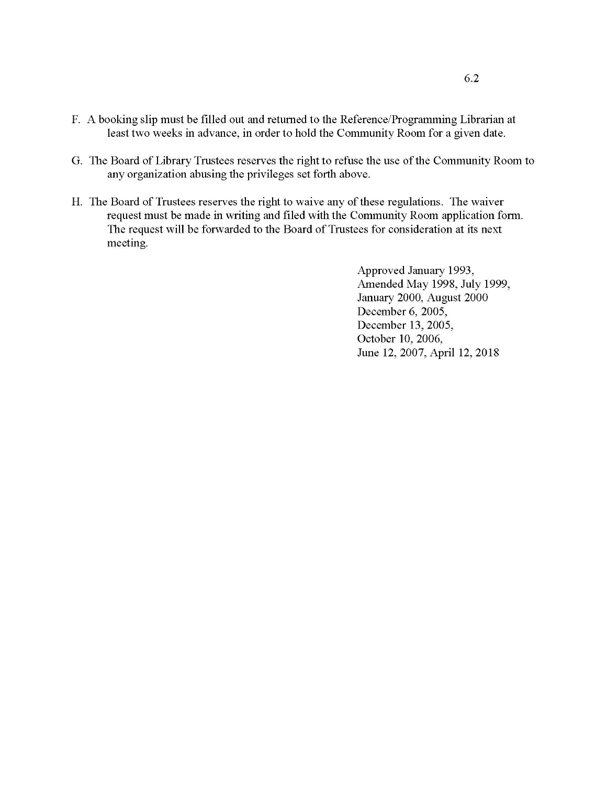- F. A booking slip must be filled out and returned to the Reference/Programming Librarian at least two weeks in advance, in order to hold the Community Room for a given date.
- G. The Board of Library Trustees reserves the right to refuse the use of the Community Room to any organization abusing the privileges set forth above.
- H. The Board of Trustees reserves the right to waive any of these regulations. The waiver request must be made in writing and filed with the Community Room application form. The request will be forwarded to the Board of Trustees for consideration at its next meeting.

Approved January 1993, Amended May 1998, July 1999, January 2000, August 2000 December 6, 2005, December 13, 2005, October 10, 2006, June 12, 2007, April 12, 2018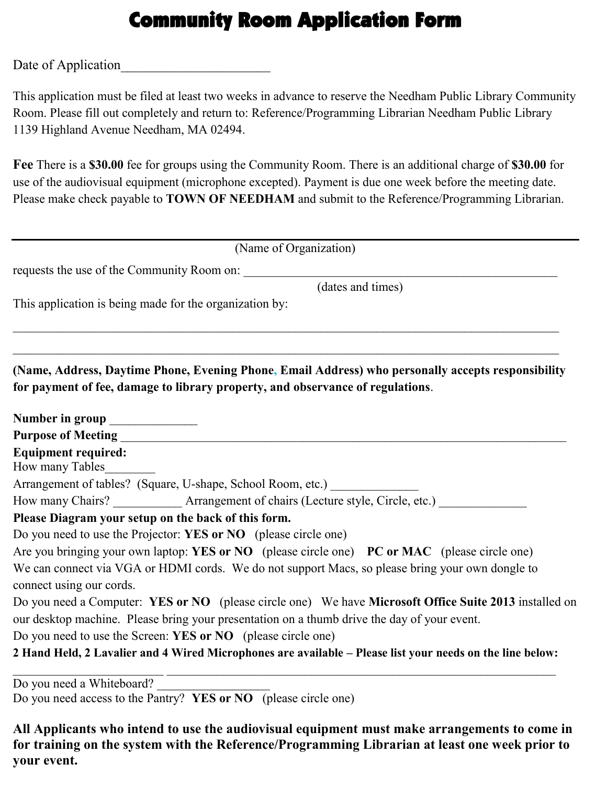# Community Room Application Form

Date of Application

This application must be filed at least two weeks in advance to reserve the Needham Public Library Community Room. Please fill out completely and return to: Reference/Programming Librarian Needham Public Library 1139 Highland Avenue Needham, MA 02494.

**Fee** There is a **\$30.00** fee for groups using the Community Room. There is an additional charge of **\$30.00** for use of the audiovisual equipment (microphone excepted). Payment is due one week before the meeting date. Please make check payable to **TOWN OF NEEDHAM** and submit to the Reference/Programming Librarian.

| (Name of Organization)                                                                                  |
|---------------------------------------------------------------------------------------------------------|
| requests the use of the Community Room on:                                                              |
| (dates and times)                                                                                       |
| This application is being made for the organization by:                                                 |
|                                                                                                         |
| (Name, Address, Daytime Phone, Evening Phone, Email Address) who personally accepts responsibility      |
| for payment of fee, damage to library property, and observance of regulations.                          |
|                                                                                                         |
| Number in group ______________                                                                          |
|                                                                                                         |
| <b>Equipment required:</b>                                                                              |
| How many Tables                                                                                         |
| Arrangement of tables? (Square, U-shape, School Room, etc.) _____________________                       |
| How many Chairs? _____________ Arrangement of chairs (Lecture style, Circle, etc.)                      |
| Please Diagram your setup on the back of this form.                                                     |
| Do you need to use the Projector: YES or NO (please circle one)                                         |
| Are you bringing your own laptop: YES or NO (please circle one) PC or MAC (please circle one)           |
| We can connect via VGA or HDMI cords. We do not support Macs, so please bring your own dongle to        |
| connect using our cords.                                                                                |
| Do you need a Computer: YES or NO (please circle one) We have Microsoft Office Suite 2013 installed on  |
| our desktop machine. Please bring your presentation on a thumb drive the day of your event.             |
| Do you need to use the Screen: YES or NO (please circle one)                                            |
| 2 Hand Hold 2 Lavelier and 4 Wired Microphanes are evolutely a place list your needs on the line helow. |

**2 Hand Held, 2 Lavalier and 4 Wired Microphones are available – Please list your needs on the line below:**  \_\_\_\_\_\_\_\_\_\_\_\_\_\_\_\_\_\_\_\_\_\_\_\_ \_\_\_\_\_\_\_\_\_\_\_\_\_\_\_\_\_\_\_\_\_\_\_\_\_\_\_\_\_\_\_\_\_\_\_\_\_\_\_\_\_\_\_\_\_\_\_\_\_\_\_\_\_\_\_\_\_\_\_\_\_\_

Do you need a Whiteboard? Do you need access to the Pantry? **YES or NO** (please circle one)

**All Applicants who intend to use the audiovisual equipment must make arrangements to come in for training on the system with the Reference/Programming Librarian at least one week prior to your event.**